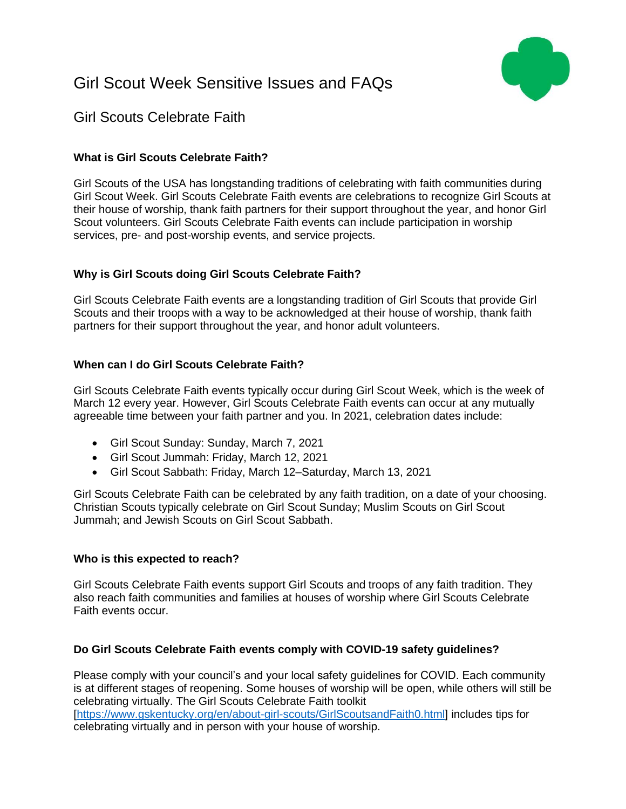# Girl Scout Week Sensitive Issues and FAQs



# Girl Scouts Celebrate Faith

# **What is Girl Scouts Celebrate Faith?**

Girl Scouts of the USA has longstanding traditions of celebrating with faith communities during Girl Scout Week. Girl Scouts Celebrate Faith events are celebrations to recognize Girl Scouts at their house of worship, thank faith partners for their support throughout the year, and honor Girl Scout volunteers. Girl Scouts Celebrate Faith events can include participation in worship services, pre- and post-worship events, and service projects.

# **Why is Girl Scouts doing Girl Scouts Celebrate Faith?**

Girl Scouts Celebrate Faith events are a longstanding tradition of Girl Scouts that provide Girl Scouts and their troops with a way to be acknowledged at their house of worship, thank faith partners for their support throughout the year, and honor adult volunteers.

# **When can I do Girl Scouts Celebrate Faith?**

Girl Scouts Celebrate Faith events typically occur during Girl Scout Week, which is the week of March 12 every year. However, Girl Scouts Celebrate Faith events can occur at any mutually agreeable time between your faith partner and you. In 2021, celebration dates include:

- Girl Scout Sunday: Sunday, March 7, 2021
- Girl Scout Jummah: Friday, March 12, 2021
- Girl Scout Sabbath: Friday, March 12–Saturday, March 13, 2021

Girl Scouts Celebrate Faith can be celebrated by any faith tradition, on a date of your choosing. Christian Scouts typically celebrate on Girl Scout Sunday; Muslim Scouts on Girl Scout Jummah; and Jewish Scouts on Girl Scout Sabbath.

### **Who is this expected to reach?**

Girl Scouts Celebrate Faith events support Girl Scouts and troops of any faith tradition. They also reach faith communities and families at houses of worship where Girl Scouts Celebrate Faith events occur.

### **Do Girl Scouts Celebrate Faith events comply with COVID-19 safety guidelines?**

Please comply with your council's and your local safety guidelines for COVID. Each community is at different stages of reopening. Some houses of worship will be open, while others will still be celebrating virtually. The Girl Scouts Celebrate Faith toolkit [\[https://www.gskentucky.org/en/about-girl-scouts/GirlScoutsandFaith0.html\]](https://www.gskentucky.org/en/about-girl-scouts/GirlScoutsandFaith0.html) includes tips for celebrating virtually and in person with your house of worship.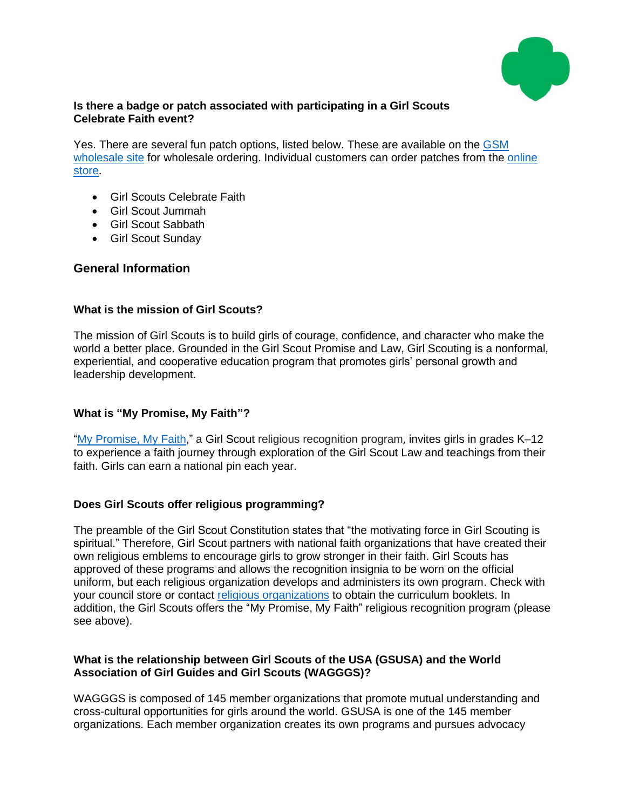

### **Is there a badge or patch associated with participating in a Girl Scouts Celebrate Faith event?**

Yes. There are several fun patch options, listed below. These are available on the [GSM](https://nam02.safelinks.protection.outlook.com/?url=https%3A%2F%2Fwww.gsmwholesale.org%2F&data=04%7C01%7CKBall%40girlscouts.org%7Ca2f003c094894042115e08d8b3df4f83%7Cd1c1cd27efe24fe8a12914d0a91c2139%7C0%7C0%7C637457118974263319%7CUnknown%7CTWFpbGZsb3d8eyJWIjoiMC4wLjAwMDAiLCJQIjoiV2luMzIiLCJBTiI6Ik1haWwiLCJXVCI6Mn0%3D%7C1000&sdata=dmSlBqw95kmfpnzPOct0SRzM1ztkNyFtHzSzfJ9bxc0%3D&reserved=0)  [wholesale site](https://nam02.safelinks.protection.outlook.com/?url=https%3A%2F%2Fwww.gsmwholesale.org%2F&data=04%7C01%7CKBall%40girlscouts.org%7Ca2f003c094894042115e08d8b3df4f83%7Cd1c1cd27efe24fe8a12914d0a91c2139%7C0%7C0%7C637457118974263319%7CUnknown%7CTWFpbGZsb3d8eyJWIjoiMC4wLjAwMDAiLCJQIjoiV2luMzIiLCJBTiI6Ik1haWwiLCJXVCI6Mn0%3D%7C1000&sdata=dmSlBqw95kmfpnzPOct0SRzM1ztkNyFtHzSzfJ9bxc0%3D&reserved=0) for wholesale ordering. Individual customers can order patches from the online [store.](https://www.girlscoutshop.com/search?keywords=celebrate%20faith&utm_source=gs_toolkit&utm_medium=council&utm_campaign=q2_celebratefaith_2021)

- Girl Scouts Celebrate Faith
- Girl Scout Jummah
- Girl Scout Sabbath
- Girl Scout Sunday

### **General Information**

### **What is the mission of Girl Scouts?**

The mission of Girl Scouts is to build girls of courage, confidence, and character who make the world a better place. Grounded in the Girl Scout Promise and Law, Girl Scouting is a nonformal, experiential, and cooperative education program that promotes girls' personal growth and leadership development.

### **What is "My Promise, My Faith"?**

["My Promise, My Faith,](https://www.girlscouts.org/content/dam/girlscouts-gsusa/forms-and-documents/about-girl-scouts/gs-and-faith/Faith_Handout_EnglishDescription.pdf)" a Girl Scout religious recognition program, invites girls in grades K–12 to experience a faith journey through exploration of the Girl Scout Law and teachings from their faith. Girls can earn a national pin each year.

### **Does Girl Scouts offer religious programming?**

The preamble of the Girl Scout Constitution states that "the motivating force in Girl Scouting is spiritual." Therefore, Girl Scout partners with national faith organizations that have created their own religious emblems to encourage girls to grow stronger in their faith. Girl Scouts has approved of these programs and allows the recognition insignia to be worn on the official uniform, but each religious organization develops and administers its own program. Check with your council store or contact religious [organizations](https://www.girlscouts.org/content/dam/girlscouts-gsusa/forms-and-documents/about-girl-scouts/gs-and-faith/PRAY_Chart.pdf) to obtain the curriculum booklets. In addition, the Girl Scouts offers the "My Promise, My Faith" religious recognition program (please see above).

### **What is the relationship between Girl Scouts of the USA (GSUSA) and the World Association of Girl Guides and Girl Scouts (WAGGGS)?**

WAGGGS is composed of 145 member organizations that promote mutual understanding and cross-cultural opportunities for girls around the world. GSUSA is one of the 145 member organizations. Each member organization creates its own programs and pursues advocacy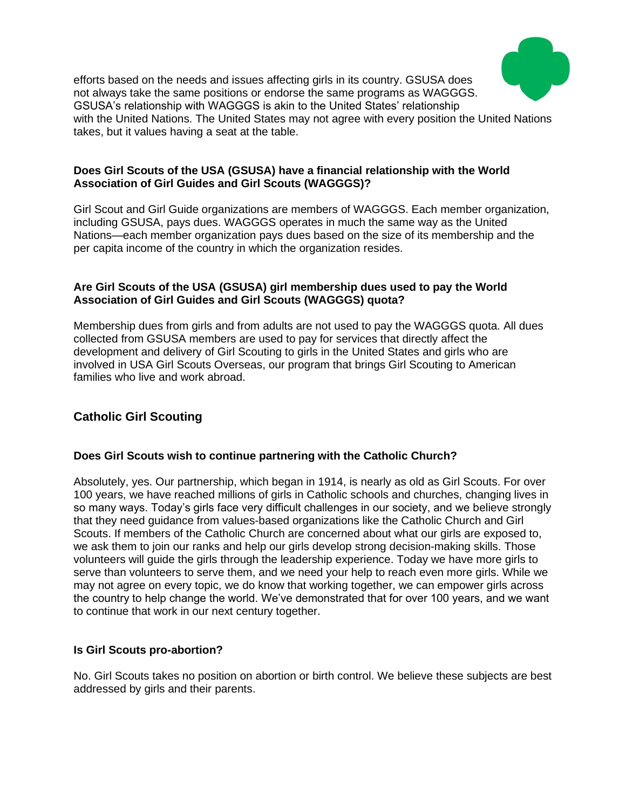

efforts based on the needs and issues affecting girls in its country. GSUSA does not always take the same positions or endorse the same programs as WAGGGS. GSUSA's relationship with WAGGGS is akin to the United States' relationship with the United Nations. The United States may not agree with every position the United Nations takes, but it values having a seat at the table.

### **Does Girl Scouts of the USA (GSUSA) have a financial relationship with the World Association of Girl Guides and Girl Scouts (WAGGGS)?**

Girl Scout and Girl Guide organizations are members of WAGGGS. Each member organization, including GSUSA, pays dues. WAGGGS operates in much the same way as the United Nations—each member organization pays dues based on the size of its membership and the per capita income of the country in which the organization resides.

### **Are Girl Scouts of the USA (GSUSA) girl membership dues used to pay the World Association of Girl Guides and Girl Scouts (WAGGGS) quota?**

Membership dues from girls and from adults are not used to pay the WAGGGS quota. All dues collected from GSUSA members are used to pay for services that directly affect the development and delivery of Girl Scouting to girls in the United States and girls who are involved in USA Girl Scouts Overseas, our program that brings Girl Scouting to American families who live and work abroad.

# **Catholic Girl Scouting**

### **Does Girl Scouts wish to continue partnering with the Catholic Church?**

Absolutely, yes. Our partnership, which began in 1914, is nearly as old as Girl Scouts. For over 100 years, we have reached millions of girls in Catholic schools and churches, changing lives in so many ways. Today's girls face very difficult challenges in our society, and we believe strongly that they need guidance from values-based organizations like the Catholic Church and Girl Scouts. If members of the Catholic Church are concerned about what our girls are exposed to, we ask them to join our ranks and help our girls develop strong decision-making skills. Those volunteers will guide the girls through the leadership experience. Today we have more girls to serve than volunteers to serve them, and we need your help to reach even more girls. While we may not agree on every topic, we do know that working together, we can empower girls across the country to help change the world. We've demonstrated that for over 100 years, and we want to continue that work in our next century together.

### **Is Girl Scouts pro-abortion?**

No. Girl Scouts takes no position on abortion or birth control. We believe these subjects are best addressed by girls and their parents.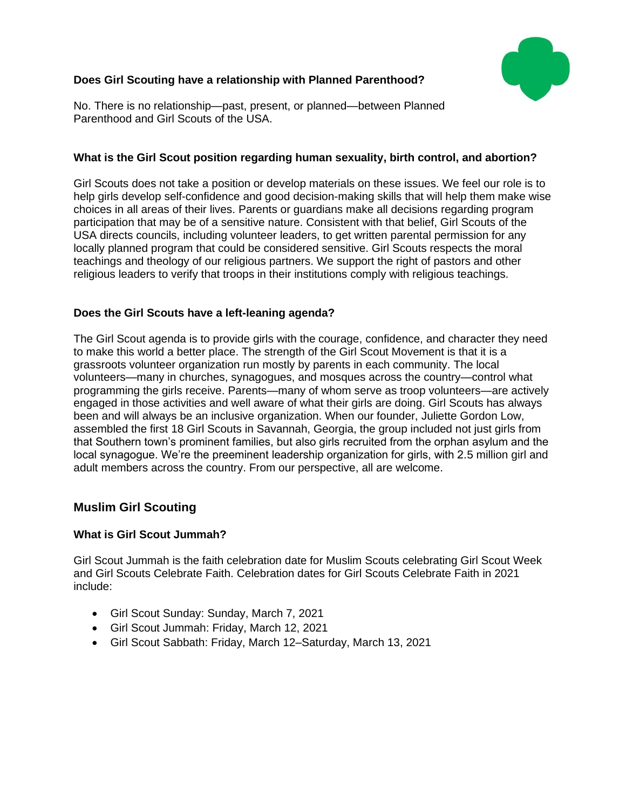

# **Does Girl Scouting have a relationship with Planned Parenthood?**

No. There is no relationship—past, present, or planned—between Planned Parenthood and Girl Scouts of the USA.

# **What is the Girl Scout position regarding human sexuality, birth control, and abortion?**

Girl Scouts does not take a position or develop materials on these issues. We feel our role is to help girls develop self-confidence and good decision-making skills that will help them make wise choices in all areas of their lives. Parents or guardians make all decisions regarding program participation that may be of a sensitive nature. Consistent with that belief, Girl Scouts of the USA directs councils, including volunteer leaders, to get written parental permission for any locally planned program that could be considered sensitive. Girl Scouts respects the moral teachings and theology of our religious partners. We support the right of pastors and other religious leaders to verify that troops in their institutions comply with religious teachings.

# **Does the Girl Scouts have a left-leaning agenda?**

The Girl Scout agenda is to provide girls with the courage, confidence, and character they need to make this world a better place. The strength of the Girl Scout Movement is that it is a grassroots volunteer organization run mostly by parents in each community. The local volunteers—many in churches, synagogues, and mosques across the country—control what programming the girls receive. Parents—many of whom serve as troop volunteers—are actively engaged in those activities and well aware of what their girls are doing. Girl Scouts has always been and will always be an inclusive organization. When our founder, Juliette Gordon Low, assembled the first 18 Girl Scouts in Savannah, Georgia, the group included not just girls from that Southern town's prominent families, but also girls recruited from the orphan asylum and the local synagogue. We're the preeminent leadership organization for girls, with 2.5 million girl and adult members across the country. From our perspective, all are welcome.

# **Muslim Girl Scouting**

### **What is Girl Scout Jummah?**

Girl Scout Jummah is the faith celebration date for Muslim Scouts celebrating Girl Scout Week and Girl Scouts Celebrate Faith. Celebration dates for Girl Scouts Celebrate Faith in 2021 include:

- Girl Scout Sunday: Sunday, March 7, 2021
- Girl Scout Jummah: Friday, March 12, 2021
- Girl Scout Sabbath: Friday, March 12–Saturday, March 13, 2021